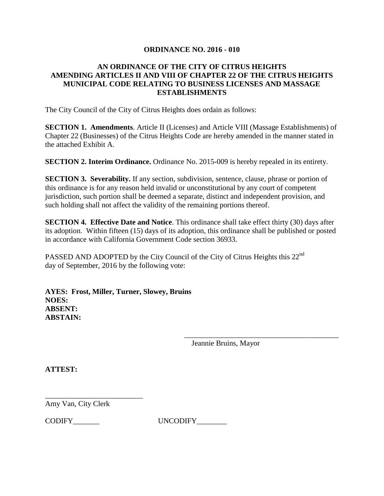# **ORDINANCE NO. 2016 - 010**

# **AN ORDINANCE OF THE CITY OF CITRUS HEIGHTS AMENDING ARTICLES II AND VIII OF CHAPTER 22 OF THE CITRUS HEIGHTS MUNICIPAL CODE RELATING TO BUSINESS LICENSES AND MASSAGE ESTABLISHMENTS**

The City Council of the City of Citrus Heights does ordain as follows:

**SECTION 1. Amendments**. Article II (Licenses) and Article VIII (Massage Establishments) of Chapter 22 (Businesses) of the Citrus Heights Code are hereby amended in the manner stated in the attached Exhibit A.

**SECTION 2. Interim Ordinance.** Ordinance No. 2015**-**009 is hereby repealed in its entirety.

**SECTION 3. Severability.** If any section, subdivision, sentence, clause, phrase or portion of this ordinance is for any reason held invalid or unconstitutional by any court of competent jurisdiction, such portion shall be deemed a separate, distinct and independent provision, and such holding shall not affect the validity of the remaining portions thereof.

**SECTION 4. Effective Date and Notice**. This ordinance shall take effect thirty (30) days after its adoption. Within fifteen (15) days of its adoption, this ordinance shall be published or posted in accordance with California Government Code section 36933.

PASSED AND ADOPTED by the City Council of the City of Citrus Heights this 22<sup>nd</sup> day of September, 2016 by the following vote:

**AYES: Frost, Miller, Turner, Slowey, Bruins NOES: ABSENT: ABSTAIN:**

Jeannie Bruins, Mayor

\_\_\_\_\_\_\_\_\_\_\_\_\_\_\_\_\_\_\_\_\_\_\_\_\_\_\_\_\_\_\_\_\_\_\_\_\_\_\_\_\_

**ATTEST:**

Amy Van, City Clerk

\_\_\_\_\_\_\_\_\_\_\_\_\_\_\_\_\_\_\_\_\_\_\_\_\_\_

CODIFY\_\_\_\_\_\_\_ UNCODIFY\_\_\_\_\_\_\_\_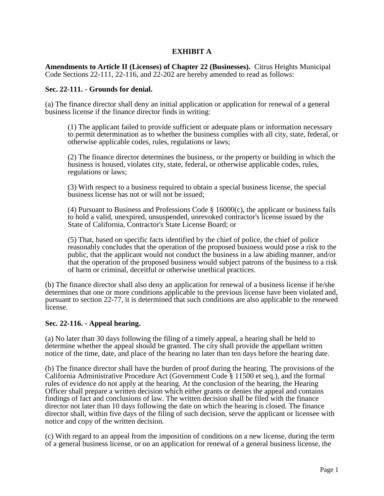# **EXHIBIT A**

**Amendments to Article II (Licenses) of Chapter 22 (Businesses).** Citrus Heights Municipal Code Sections 22-111, 22-116, and 22-202 are hereby amended to read as follows:

### **Sec. 22-111. - Grounds for denial.**

(a) The finance director shall deny an initial application or application for renewal of a general business license if the finance director finds in writing:

(1) The applicant failed to provide sufficient or adequate plans or information necessary to permit determination as to whether the business complies with all city, state, federal, or otherwise applicable codes, rules, regulations or laws;

(2) The finance director determines the business, or the property or building in which the business is housed, violates city, state, federal, or otherwise applicable codes, rules, regulations or laws;

(3) With respect to a business required to obtain a special business license, the special business license has not or will not be issued;

(4) Pursuant to Business and Professions Code  $\S$  16000(c), the applicant or business fails to hold a valid, unexpired, unsuspended, unrevoked contractor's license issued by the State of California, Contractor's State License Board; or

(5) That, based on specific facts identified by the chief of police, the chief of police reasonably concludes that the operation of the proposed business would pose a risk to the public, that the applicant would not conduct the business in a law abiding manner, and/or that the operation of the proposed business would subject patrons of the business to a risk of harm or criminal, deceitful or otherwise unethical practices.

(b) The finance director shall also deny an application for renewal of a business license if he/she determines that one or more conditions applicable to the previous license have been violated and, pursuant to section 22-77, it is determined that such conditions are also applicable to the renewed license.

## **Sec. 22-116. - Appeal hearing.**

(a) No later than 30 days following the filing of a timely appeal, a hearing shall be held to determine whether the appeal should be granted. The city shall provide the appellant written notice of the time, date, and place of the hearing no later than ten days before the hearing date.

(b) The finance director shall have the burden of proof during the hearing. The provisions of the California Administrative Procedure Act (Government Code § 11500 et seq.), and the formal rules of evidence do not apply at the hearing. At the conclusion of the hearing, the Hearing Officer shall prepare a written decision which either grants or denies the appeal and contains findings of fact and conclusions of law. The written decision shall be filed with the finance director not later than 10 days following the date on which the hearing is closed. The finance director shall, within five days of the filing of such decision, serve the applicant or licensee with notice and copy of the written decision.

(c) With regard to an appeal from the imposition of conditions on a new license, during the term of a general business license, or on an application for renewal of a general business license, the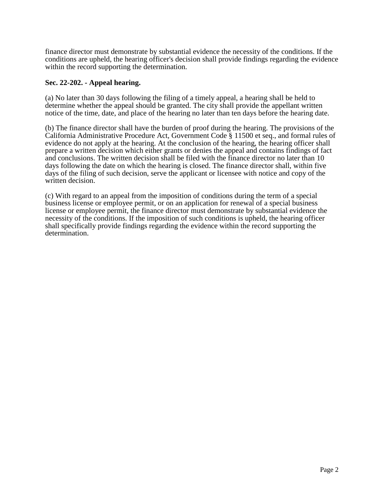finance director must demonstrate by substantial evidence the necessity of the conditions. If the conditions are upheld, the hearing officer's decision shall provide findings regarding the evidence within the record supporting the determination.

## **Sec. 22-202. - Appeal hearing.**

(a) No later than 30 days following the filing of a timely appeal, a hearing shall be held to determine whether the appeal should be granted. The city shall provide the appellant written notice of the time, date, and place of the hearing no later than ten days before the hearing date.

(b) The finance director shall have the burden of proof during the hearing. The provisions of the California Administrative Procedure Act, Government Code § 11500 et seq., and formal rules of evidence do not apply at the hearing. At the conclusion of the hearing, the hearing officer shall prepare a written decision which either grants or denies the appeal and contains findings of fact and conclusions. The written decision shall be filed with the finance director no later than 10 days following the date on which the hearing is closed. The finance director shall, within five days of the filing of such decision, serve the applicant or licensee with notice and copy of the written decision.

(c) With regard to an appeal from the imposition of conditions during the term of a special business license or employee permit, or on an application for renewal of a special business license or employee permit, the finance director must demonstrate by substantial evidence the necessity of the conditions. If the imposition of such conditions is upheld, the hearing officer shall specifically provide findings regarding the evidence within the record supporting the determination.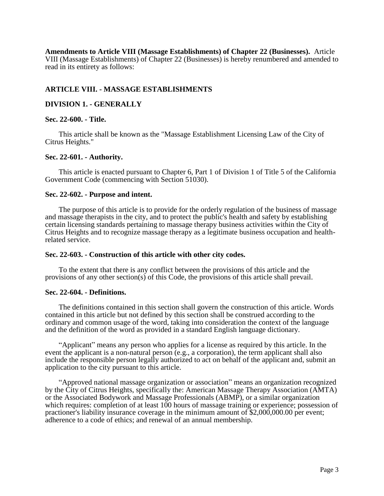**Amendments to Article VIII (Massage Establishments) of Chapter 22 (Businesses).** Article VIII (Massage Establishments) of Chapter 22 (Businesses) is hereby renumbered and amended to read in its entirety as follows:

## **ARTICLE VIII. - MASSAGE ESTABLISHMENTS**

## **DIVISION 1. - GENERALLY**

### **Sec. 22-600. - Title.**

This article shall be known as the "Massage Establishment Licensing Law of the City of Citrus Heights."

### **Sec. 22-601. - Authority.**

This article is enacted pursuant to Chapter 6, Part 1 of Division 1 of Title 5 of the California Government Code (commencing with Section 51030).

### **Sec. 22-602. - Purpose and intent.**

The purpose of this article is to provide for the orderly regulation of the business of massage and massage therapists in the city, and to protect the public's health and safety by establishing certain licensing standards pertaining to massage therapy business activities within the City of Citrus Heights and to recognize massage therapy as a legitimate business occupation and healthrelated service.

### **Sec. 22-603. - Construction of this article with other city codes.**

To the extent that there is any conflict between the provisions of this article and the provisions of any other section(s) of this Code, the provisions of this article shall prevail.

### **Sec. 22-604. - Definitions.**

The definitions contained in this section shall govern the construction of this article. Words contained in this article but not defined by this section shall be construed according to the ordinary and common usage of the word, taking into consideration the context of the language and the definition of the word as provided in a standard English language dictionary.

"Applicant" means any person who applies for a license as required by this article. In the event the applicant is a non-natural person (e.g., a corporation), the term applicant shall also include the responsible person legally authorized to act on behalf of the applicant and, submit an application to the city pursuant to this article.

"Approved national massage organization or association" means an organization recognized by the City of Citrus Heights, specifically the: American Massage Therapy Association (AMTA) or the Associated Bodywork and Massage Professionals (ABMP), or a similar organization which requires: completion of at least 100 hours of massage training or experience; possession of practioner's liability insurance coverage in the minimum amount of \$2,000,000.00 per event; adherence to a code of ethics; and renewal of an annual membership.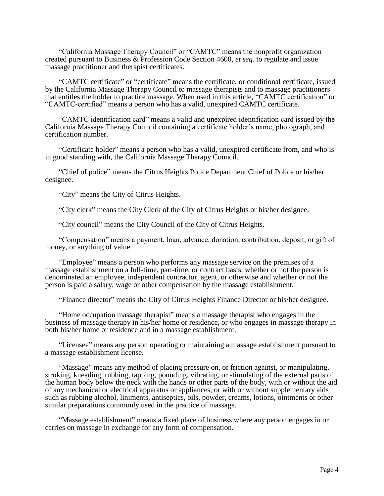"California Massage Therapy Council" or "CAMTC" means the nonprofit organization created pursuant to Business & Profession Code Section 4600, *et seq.* to regulate and issue massage practitioner and therapist certificates.

"CAMTC certificate" or "certificate" means the certificate, or conditional certificate, issued by the California Massage Therapy Council to massage therapists and to massage practitioners that entitles the holder to practice massage. When used in this article, "CAMTC certification" or "CAMTC-certified" means a person who has a valid, unexpired CAMTC certificate.

"CAMTC identification card" means a valid and unexpired identification card issued by the California Massage Therapy Council containing a certificate holder's name, photograph, and certification number.

"Certificate holder" means a person who has a valid, unexpired certificate from, and who is in good standing with, the California Massage Therapy Council.

"Chief of police" means the Citrus Heights Police Department Chief of Police or his/her designee.

"City" means the City of Citrus Heights.

"City clerk" means the City Clerk of the City of Citrus Heights or his/her designee.

"City council" means the City Council of the City of Citrus Heights.

"Compensation" means a payment, loan, advance, donation, contribution, deposit, or gift of money, or anything of value.

"Employee" means a person who performs any massage service on the premises of a massage establishment on a full-time, part-time, or contract basis, whether or not the person is denominated an employee, independent contractor, agent, or otherwise and whether or not the person is paid a salary, wage or other compensation by the massage establishment.

"Finance director" means the City of Citrus Heights Finance Director or his/her designee.

"Home occupation massage therapist" means a massage therapist who engages in the business of massage therapy in his/her home or residence, or who engages in massage therapy in both his/her home or residence and in a massage establishment.

"Licensee" means any person operating or maintaining a massage establishment pursuant to a massage establishment license.

"Massage" means any method of placing pressure on, or friction against, or manipulating, stroking, kneading, rubbing, tapping, pounding, vibrating, or stimulating of the external parts of the human body below the neck with the hands or other parts of the body, with or without the aid of any mechanical or electrical apparatus or appliances, or with or without supplementary aids such as rubbing alcohol, liniments, antiseptics, oils, powder, creams, lotions, ointments or other similar preparations commonly used in the practice of massage.

"Massage establishment" means a fixed place of business where any person engages in or carries on massage in exchange for any form of compensation.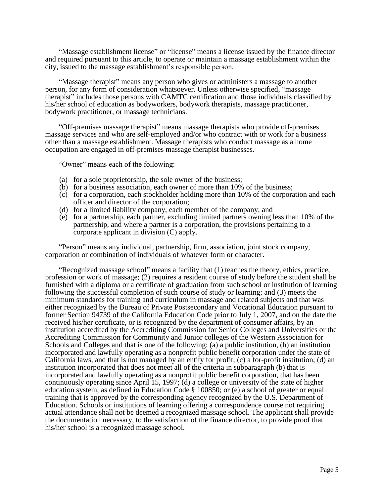"Massage establishment license" or "license" means a license issued by the finance director and required pursuant to this article, to operate or maintain a massage establishment within the city, issued to the massage establishment's responsible person.

"Massage therapist" means any person who gives or administers a massage to another person, for any form of consideration whatsoever. Unless otherwise specified, "massage therapist" includes those persons with CAMTC certification and those individuals classified by his/her school of education as bodyworkers, bodywork therapists, massage practitioner, bodywork practitioner, or massage technicians.

"Off-premises massage therapist" means massage therapists who provide off-premises massage services and who are self-employed and/or who contract with or work for a business other than a massage establishment. Massage therapists who conduct massage as a home occupation are engaged in off-premises massage therapist businesses.

"Owner" means each of the following:

- (a) for a sole proprietorship, the sole owner of the business;
- (b) for a business association, each owner of more than 10% of the business;
- (c) for a corporation, each stockholder holding more than 10% of the corporation and each officer and director of the corporation;
- (d) for a limited liability company, each member of the company; and
- (e) for a partnership, each partner, excluding limited partners owning less than 10% of the partnership, and where a partner is a corporation, the provisions pertaining to a corporate applicant in division (C) apply.

"Person" means any individual, partnership, firm, association, joint stock company, corporation or combination of individuals of whatever form or character.

"Recognized massage school" means a facility that (1) teaches the theory, ethics, practice, profession or work of massage; (2) requires a resident course of study before the student shall be furnished with a diploma or a certificate of graduation from such school or institution of learning following the successful completion of such course of study or learning; and (3) meets the minimum standards for training and curriculum in massage and related subjects and that was either recognized by the Bureau of Private Postsecondary and Vocational Education pursuant to former Section 94739 of the California Education Code prior to July 1, 2007, and on the date the received his/her certificate, or is recognized by the department of consumer affairs, by an institution accredited by the Accrediting Commission for Senior Colleges and Universities or the Accrediting Commission for Community and Junior colleges of the Western Association for Schools and Colleges and that is one of the following: (a) a public institution, (b) an institution incorporated and lawfully operating as a nonprofit public benefit corporation under the state of California laws, and that is not managed by an entity for profit; (c) a for-profit institution; (d) an institution incorporated that does not meet all of the criteria in subparagraph (b) that is incorporated and lawfully operating as a nonprofit public benefit corporation, that has been continuously operating since April 15, 1997; (d) a college or university of the state of higher education system, as defined in Education Code § 100850; or (e) a school of greater or equal training that is approved by the corresponding agency recognized by the U.S. Department of Education. Schools or institutions of learning offering a correspondence course not requiring actual attendance shall not be deemed a recognized massage school. The applicant shall provide the documentation necessary, to the satisfaction of the finance director, to provide proof that his/her school is a recognized massage school.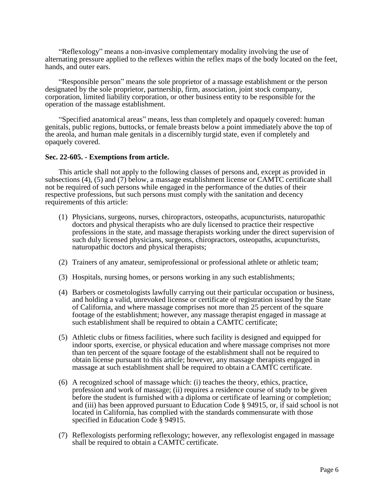"Reflexology" means a non-invasive complementary modality involving the use of alternating pressure applied to the reflexes within the reflex maps of the body located on the feet, hands, and outer ears.

"Responsible person" means the sole proprietor of a massage establishment or the person designated by the sole proprietor, partnership, firm, association, joint stock company, corporation, limited liability corporation, or other business entity to be responsible for the operation of the massage establishment.

"Specified anatomical areas" means, less than completely and opaquely covered: human genitals, public regions, buttocks, or female breasts below a point immediately above the top of the areola, and human male genitals in a discernibly turgid state, even if completely and opaquely covered.

## **Sec. 22-605. - Exemptions from article.**

This article shall not apply to the following classes of persons and, except as provided in subsections (4), (5) and (7) below, a massage establishment license or CAMTC certificate shall not be required of such persons while engaged in the performance of the duties of their respective professions, but such persons must comply with the sanitation and decency requirements of this article:

- (1) Physicians, surgeons, nurses, chiropractors, osteopaths, acupuncturists, naturopathic doctors and physical therapists who are duly licensed to practice their respective professions in the state, and massage therapists working under the direct supervision of such duly licensed physicians, surgeons, chiropractors, osteopaths, acupuncturists, naturopathic doctors and physical therapists;
- (2) Trainers of any amateur, semiprofessional or professional athlete or athletic team;
- (3) Hospitals, nursing homes, or persons working in any such establishments;
- (4) Barbers or cosmetologists lawfully carrying out their particular occupation or business, and holding a valid, unrevoked license or certificate of registration issued by the State of California, and where massage comprises not more than 25 percent of the square footage of the establishment; however, any massage therapist engaged in massage at such establishment shall be required to obtain a CAMTC certificate;
- (5) Athletic clubs or fitness facilities, where such facility is designed and equipped for indoor sports, exercise, or physical education and where massage comprises not more than ten percent of the square footage of the establishment shall not be required to obtain license pursuant to this article; however, any massage therapists engaged in massage at such establishment shall be required to obtain a CAMTC certificate.
- (6) A recognized school of massage which: (i) teaches the theory, ethics, practice, profession and work of massage; (ii) requires a residence course of study to be given before the student is furnished with a diploma or certificate of learning or completion; and (iii) has been approved pursuant to Education Code § 94915, or, if said school is not located in California, has complied with the standards commensurate with those specified in Education Code § 94915.
- (7) Reflexologists performing reflexology; however, any reflexologist engaged in massage shall be required to obtain a CAMTC certificate.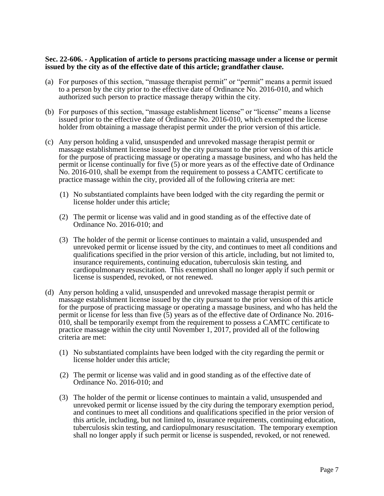## **Sec. 22-606. - Application of article to persons practicing massage under a license or permit issued by the city as of the effective date of this article; grandfather clause.**

- (a) For purposes of this section, "massage therapist permit" or "permit" means a permit issued to a person by the city prior to the effective date of Ordinance No. 2016-010, and which authorized such person to practice massage therapy within the city.
- (b) For purposes of this section, "massage establishment license" or "license" means a license issued prior to the effective date of Ordinance No. 2016-010, which exempted the license holder from obtaining a massage therapist permit under the prior version of this article.
- (c) Any person holding a valid, unsuspended and unrevoked massage therapist permit or massage establishment license issued by the city pursuant to the prior version of this article for the purpose of practicing massage or operating a massage business, and who has held the permit or license continually for five (5) or more years as of the effective date of Ordinance No. 2016-010, shall be exempt from the requirement to possess a CAMTC certificate to practice massage within the city, provided all of the following criteria are met:
	- (1) No substantiated complaints have been lodged with the city regarding the permit or license holder under this article;
	- (2) The permit or license was valid and in good standing as of the effective date of Ordinance No. 2016-010; and
	- (3) The holder of the permit or license continues to maintain a valid, unsuspended and unrevoked permit or license issued by the city, and continues to meet all conditions and qualifications specified in the prior version of this article, including, but not limited to, insurance requirements, continuing education, tuberculosis skin testing, and cardiopulmonary resuscitation. This exemption shall no longer apply if such permit or license is suspended, revoked, or not renewed.
- (d) Any person holding a valid, unsuspended and unrevoked massage therapist permit or massage establishment license issued by the city pursuant to the prior version of this article for the purpose of practicing massage or operating a massage business, and who has held the permit or license for less than five (5) years as of the effective date of Ordinance No. 2016- 010, shall be temporarily exempt from the requirement to possess a CAMTC certificate to practice massage within the city until November 1, 2017, provided all of the following criteria are met:
	- (1) No substantiated complaints have been lodged with the city regarding the permit or license holder under this article;
	- (2) The permit or license was valid and in good standing as of the effective date of Ordinance No. 2016-010; and
	- (3) The holder of the permit or license continues to maintain a valid, unsuspended and unrevoked permit or license issued by the city during the temporary exemption period, and continues to meet all conditions and qualifications specified in the prior version of this article, including, but not limited to, insurance requirements, continuing education, tuberculosis skin testing, and cardiopulmonary resuscitation. The temporary exemption shall no longer apply if such permit or license is suspended, revoked, or not renewed.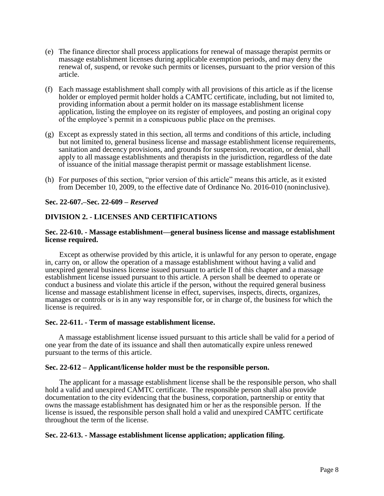- (e) The finance director shall process applications for renewal of massage therapist permits or massage establishment licenses during applicable exemption periods, and may deny the renewal of, suspend, or revoke such permits or licenses, pursuant to the prior version of this article.
- (f) Each massage establishment shall comply with all provisions of this article as if the license holder or employed permit holder holds a CAMTC certificate, including, but not limited to, providing information about a permit holder on its massage establishment license application, listing the employee on its register of employees, and posting an original copy of the employee's permit in a conspicuous public place on the premises.
- (g) Except as expressly stated in this section, all terms and conditions of this article, including but not limited to, general business license and massage establishment license requirements, sanitation and decency provisions, and grounds for suspension, revocation, or denial, shall apply to all massage establishments and therapists in the jurisdiction, regardless of the date of issuance of the initial massage therapist permit or massage establishment license.
- (h) For purposes of this section, "prior version of this article" means this article, as it existed from December 10, 2009, to the effective date of Ordinance No. 2016-010 (noninclusive).

## **Sec. 22-607.–Sec. 22-609 –** *Reserved*

## **DIVISION 2. - LICENSES AND CERTIFICATIONS**

### **Sec. 22-610. - Massage establishment—general business license and massage establishment license required.**

Except as otherwise provided by this article, it is unlawful for any person to operate, engage in, carry on, or allow the operation of a massage establishment without having a valid and unexpired general business license issued pursuant to article II of this chapter and a massage establishment license issued pursuant to this article. A person shall be deemed to operate or conduct a business and violate this article if the person, without the required general business license and massage establishment license in effect, supervises, inspects, directs, organizes, manages or controls or is in any way responsible for, or in charge of, the business for which the license is required.

### **Sec. 22-611. - Term of massage establishment license.**

A massage establishment license issued pursuant to this article shall be valid for a period of one year from the date of its issuance and shall then automatically expire unless renewed pursuant to the terms of this article.

### **Sec. 22-612 – Applicant/license holder must be the responsible person.**

The applicant for a massage establishment license shall be the responsible person, who shall hold a valid and unexpired CAMTC certificate. The responsible person shall also provide documentation to the city evidencing that the business, corporation, partnership or entity that owns the massage establishment has designated him or her as the responsible person. If the license is issued, the responsible person shall hold a valid and unexpired CAMTC certificate throughout the term of the license.

### **Sec. 22-613. - Massage establishment license application; application filing.**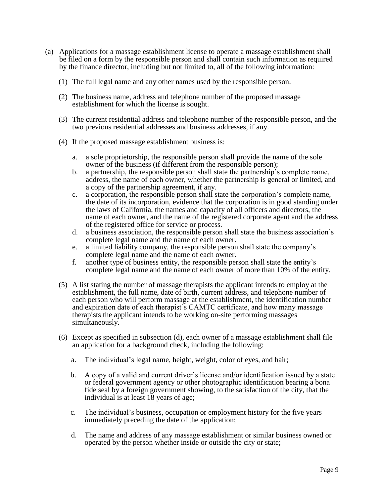- (a) Applications for a massage establishment license to operate a massage establishment shall be filed on a form by the responsible person and shall contain such information as required by the finance director, including but not limited to, all of the following information:
	- (1) The full legal name and any other names used by the responsible person.
	- (2) The business name, address and telephone number of the proposed massage establishment for which the license is sought.
	- (3) The current residential address and telephone number of the responsible person, and the two previous residential addresses and business addresses, if any.
	- (4) If the proposed massage establishment business is:
		- a. a sole proprietorship, the responsible person shall provide the name of the sole owner of the business (if different from the responsible person);
		- b. a partnership, the responsible person shall state the partnership's complete name, address, the name of each owner, whether the partnership is general or limited, and a copy of the partnership agreement, if any.
		- c. a corporation, the responsible person shall state the corporation's complete name, the date of its incorporation, evidence that the corporation is in good standing under the laws of California, the names and capacity of all officers and directors, the name of each owner, and the name of the registered corporate agent and the address of the registered office for service or process.
		- d. a business association, the responsible person shall state the business association's complete legal name and the name of each owner.
		- e. a limited liability company, the responsible person shall state the company's complete legal name and the name of each owner.
		- f. another type of business entity, the responsible person shall state the entity's complete legal name and the name of each owner of more than 10% of the entity.
	- (5) A list stating the number of massage therapists the applicant intends to employ at the establishment, the full name, date of birth, current address, and telephone number of each person who will perform massage at the establishment, the identification number and expiration date of each therapist's CAMTC certificate, and how many massage therapists the applicant intends to be working on-site performing massages simultaneously.
	- (6) Except as specified in subsection (d), each owner of a massage establishment shall file an application for a background check, including the following:
		- a. The individual's legal name, height, weight, color of eyes, and hair;
		- b. A copy of a valid and current driver's license and/or identification issued by a state or federal government agency or other photographic identification bearing a bona fide seal by a foreign government showing, to the satisfaction of the city, that the individual is at least 18 years of age;
		- c. The individual's business, occupation or employment history for the five years immediately preceding the date of the application;
		- d. The name and address of any massage establishment or similar business owned or operated by the person whether inside or outside the city or state;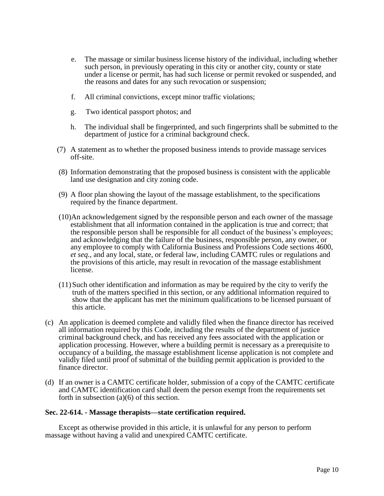- e. The massage or similar business license history of the individual, including whether such person, in previously operating in this city or another city, county or state under a license or permit, has had such license or permit revoked or suspended, and the reasons and dates for any such revocation or suspension;
- f. All criminal convictions, except minor traffic violations;
- g. Two identical passport photos; and
- h. The individual shall be fingerprinted, and such fingerprints shall be submitted to the department of justice for a criminal background check.
- (7) A statement as to whether the proposed business intends to provide massage services off-site.
- (8) Information demonstrating that the proposed business is consistent with the applicable land use designation and city zoning code.
- (9) A floor plan showing the layout of the massage establishment, to the specifications required by the finance department.
- (10)An acknowledgement signed by the responsible person and each owner of the massage establishment that all information contained in the application is true and correct; that the responsible person shall be responsible for all conduct of the business's employees; and acknowledging that the failure of the business, responsible person, any owner, or any employee to comply with California Business and Professions Code sections 4600, *et seq.*, and any local, state, or federal law, including CAMTC rules or regulations and the provisions of this article, may result in revocation of the massage establishment license.
- (11)Such other identification and information as may be required by the city to verify the truth of the matters specified in this section, or any additional information required to show that the applicant has met the minimum qualifications to be licensed pursuant of this article.
- (c) An application is deemed complete and validly filed when the finance director has received all information required by this Code, including the results of the department of justice criminal background check, and has received any fees associated with the application or application processing. However, where a building permit is necessary as a prerequisite to occupancy of a building, the massage establishment license application is not complete and validly filed until proof of submittal of the building permit application is provided to the finance director.
- (d) If an owner is a CAMTC certificate holder, submission of a copy of the CAMTC certificate and CAMTC identification card shall deem the person exempt from the requirements set forth in subsection (a)(6) of this section.

## **Sec. 22-614. - Massage therapists—state certification required.**

Except as otherwise provided in this article, it is unlawful for any person to perform massage without having a valid and unexpired CAMTC certificate.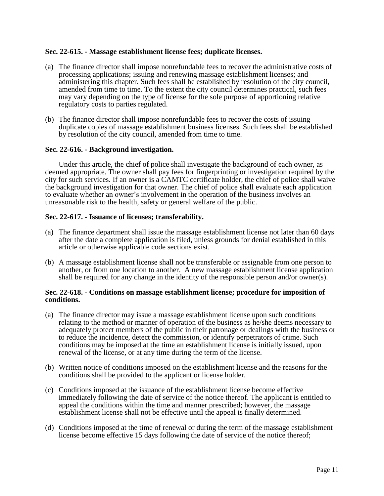## **Sec. 22-615. - Massage establishment license fees; duplicate licenses.**

- (a) The finance director shall impose nonrefundable fees to recover the administrative costs of processing applications; issuing and renewing massage establishment licenses; and administering this chapter. Such fees shall be established by resolution of the city council, amended from time to time. To the extent the city council determines practical, such fees may vary depending on the type of license for the sole purpose of apportioning relative regulatory costs to parties regulated.
- (b) The finance director shall impose nonrefundable fees to recover the costs of issuing duplicate copies of massage establishment business licenses. Such fees shall be established by resolution of the city council, amended from time to time.

## **Sec. 22-616. - Background investigation.**

Under this article, the chief of police shall investigate the background of each owner, as deemed appropriate. The owner shall pay fees for fingerprinting or investigation required by the city for such services. If an owner is a CAMTC certificate holder, the chief of police shall waive the background investigation for that owner. The chief of police shall evaluate each application to evaluate whether an owner's involvement in the operation of the business involves an unreasonable risk to the health, safety or general welfare of the public.

## **Sec. 22-617. - Issuance of licenses; transferability.**

- (a) The finance department shall issue the massage establishment license not later than 60 days after the date a complete application is filed, unless grounds for denial established in this article or otherwise applicable code sections exist.
- (b) A massage establishment license shall not be transferable or assignable from one person to another, or from one location to another. A new massage establishment license application shall be required for any change in the identity of the responsible person and/or owner(s).

## **Sec. 22-618. - Conditions on massage establishment license; procedure for imposition of conditions.**

- (a) The finance director may issue a massage establishment license upon such conditions relating to the method or manner of operation of the business as he/she deems necessary to adequately protect members of the public in their patronage or dealings with the business or to reduce the incidence, detect the commission, or identify perpetrators of crime. Such conditions may be imposed at the time an establishment license is initially issued, upon renewal of the license, or at any time during the term of the license.
- (b) Written notice of conditions imposed on the establishment license and the reasons for the conditions shall be provided to the applicant or license holder.
- (c) Conditions imposed at the issuance of the establishment license become effective immediately following the date of service of the notice thereof. The applicant is entitled to appeal the conditions within the time and manner prescribed; however, the massage establishment license shall not be effective until the appeal is finally determined.
- (d) Conditions imposed at the time of renewal or during the term of the massage establishment license become effective 15 days following the date of service of the notice thereof;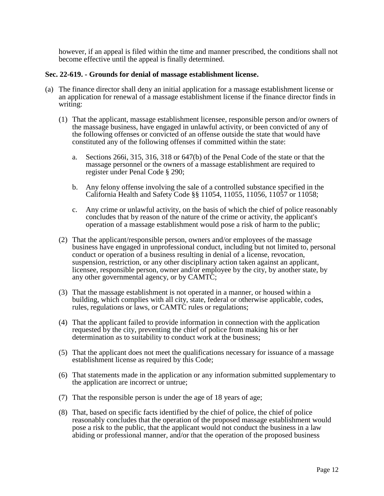however, if an appeal is filed within the time and manner prescribed, the conditions shall not become effective until the appeal is finally determined.

### **Sec. 22-619. - Grounds for denial of massage establishment license.**

- (a) The finance director shall deny an initial application for a massage establishment license or an application for renewal of a massage establishment license if the finance director finds in writing:
	- (1) That the applicant, massage establishment licensee, responsible person and/or owners of the massage business, have engaged in unlawful activity, or been convicted of any of the following offenses or convicted of an offense outside the state that would have constituted any of the following offenses if committed within the state:
		- a. Sections 266i, 315, 316, 318 or 647(b) of the Penal Code of the state or that the massage personnel or the owners of a massage establishment are required to register under Penal Code § 290;
		- b. Any felony offense involving the sale of a controlled substance specified in the California Health and Safety Code §§ 11054, 11055, 11056, 11057 or 11058;
		- c. Any crime or unlawful activity, on the basis of which the chief of police reasonably concludes that by reason of the nature of the crime or activity, the applicant's operation of a massage establishment would pose a risk of harm to the public;
	- (2) That the applicant/responsible person, owners and/or employees of the massage business have engaged in unprofessional conduct, including but not limited to, personal conduct or operation of a business resulting in denial of a license, revocation, suspension, restriction, or any other disciplinary action taken against an applicant, licensee, responsible person, owner and/or employee by the city, by another state, by any other governmental agency, or by CAMTC;
	- (3) That the massage establishment is not operated in a manner, or housed within a building, which complies with all city, state, federal or otherwise applicable, codes, rules, regulations or laws, or CAMTC rules or regulations;
	- (4) That the applicant failed to provide information in connection with the application requested by the city, preventing the chief of police from making his or her determination as to suitability to conduct work at the business;
	- (5) That the applicant does not meet the qualifications necessary for issuance of a massage establishment license as required by this Code;
	- (6) That statements made in the application or any information submitted supplementary to the application are incorrect or untrue;
	- (7) That the responsible person is under the age of 18 years of age;
	- (8) That, based on specific facts identified by the chief of police, the chief of police reasonably concludes that the operation of the proposed massage establishment would pose a risk to the public, that the applicant would not conduct the business in a law abiding or professional manner, and/or that the operation of the proposed business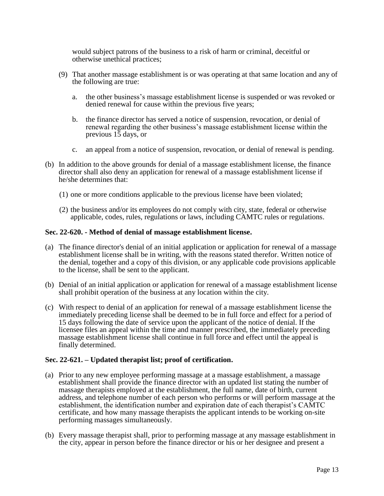would subject patrons of the business to a risk of harm or criminal, deceitful or otherwise unethical practices;

- (9) That another massage establishment is or was operating at that same location and any of the following are true:
	- a. the other business's massage establishment license is suspended or was revoked or denied renewal for cause within the previous five years;
	- b. the finance director has served a notice of suspension, revocation, or denial of renewal regarding the other business's massage establishment license within the previous 15 days, or
	- c. an appeal from a notice of suspension, revocation, or denial of renewal is pending.
- (b) In addition to the above grounds for denial of a massage establishment license, the finance director shall also deny an application for renewal of a massage establishment license if he/she determines that:
	- (1) one or more conditions applicable to the previous license have been violated;
	- (2) the business and/or its employees do not comply with city, state, federal or otherwise applicable, codes, rules, regulations or laws, including CAMTC rules or regulations.

### **Sec. 22-620. - Method of denial of massage establishment license.**

- (a) The finance director's denial of an initial application or application for renewal of a massage establishment license shall be in writing, with the reasons stated therefor. Written notice of the denial, together and a copy of this division, or any applicable code provisions applicable to the license, shall be sent to the applicant.
- (b) Denial of an initial application or application for renewal of a massage establishment license shall prohibit operation of the business at any location within the city.
- (c) With respect to denial of an application for renewal of a massage establishment license the immediately preceding license shall be deemed to be in full force and effect for a period of 15 days following the date of service upon the applicant of the notice of denial. If the licensee files an appeal within the time and manner prescribed, the immediately preceding massage establishment license shall continue in full force and effect until the appeal is finally determined.

## **Sec. 22-621. – Updated therapist list; proof of certification.**

- (a) Prior to any new employee performing massage at a massage establishment, a massage establishment shall provide the finance director with an updated list stating the number of massage therapists employed at the establishment, the full name, date of birth, current address, and telephone number of each person who performs or will perform massage at the establishment, the identification number and expiration date of each therapist's CAMTC certificate, and how many massage therapists the applicant intends to be working on-site performing massages simultaneously.
- (b) Every massage therapist shall, prior to performing massage at any massage establishment in the city, appear in person before the finance director or his or her designee and present a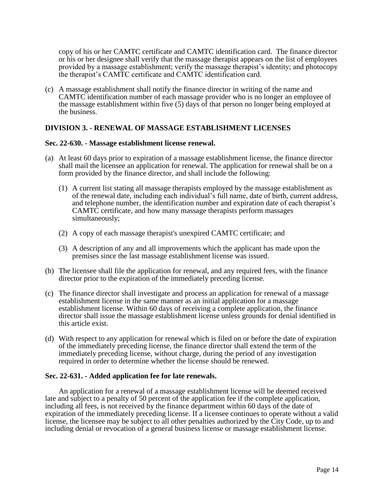copy of his or her CAMTC certificate and CAMTC identification card. The finance director or his or her designee shall verify that the massage therapist appears on the list of employees provided by a massage establishment; verify the massage therapist's identity; and photocopy the therapist's CAMTC certificate and CAMTC identification card.

(c) A massage establishment shall notify the finance director in writing of the name and CAMTC identification number of each massage provider who is no longer an employee of the massage establishment within five (5) days of that person no longer being employed at the business.

## **DIVISION 3. - RENEWAL OF MASSAGE ESTABLISHMENT LICENSES**

### **Sec. 22-630. - Massage establishment license renewal.**

- (a) At least 60 days prior to expiration of a massage establishment license, the finance director shall mail the licensee an application for renewal. The application for renewal shall be on a form provided by the finance director, and shall include the following:
	- (1) A current list stating all massage therapists employed by the massage establishment as of the renewal date, including each individual's full name, date of birth, current address, and telephone number, the identification number and expiration date of each therapist's CAMTC certificate, and how many massage therapists perform massages simultaneously;
	- (2) A copy of each massage therapist's unexpired CAMTC certificate; and
	- (3) A description of any and all improvements which the applicant has made upon the premises since the last massage establishment license was issued.
- (b) The licensee shall file the application for renewal, and any required fees, with the finance director prior to the expiration of the immediately preceding license.
- (c) The finance director shall investigate and process an application for renewal of a massage establishment license in the same manner as an initial application for a massage establishment license. Within 60 days of receiving a complete application, the finance director shall issue the massage establishment license unless grounds for denial identified in this article exist.
- (d) With respect to any application for renewal which is filed on or before the date of expiration of the immediately preceding license, the finance director shall extend the term of the immediately preceding license, without charge, during the period of any investigation required in order to determine whether the license should be renewed.

## **Sec. 22-631. - Added application fee for late renewals.**

An application for a renewal of a massage establishment license will be deemed received late and subject to a penalty of 50 percent of the application fee if the complete application, including all fees, is not received by the finance department within 60 days of the date of expiration of the immediately preceding license. If a licensee continues to operate without a valid license, the licensee may be subject to all other penalties authorized by the City Code, up to and including denial or revocation of a general business license or massage establishment license.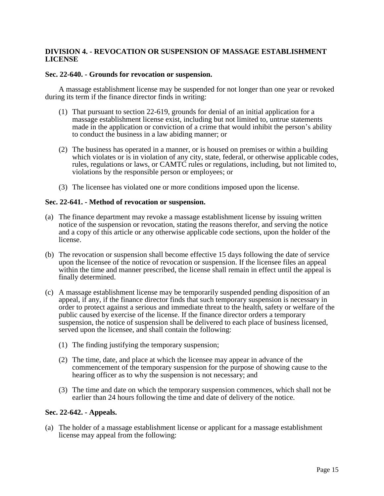## **DIVISION 4. - REVOCATION OR SUSPENSION OF MASSAGE ESTABLISHMENT LICENSE**

### **Sec. 22-640. - Grounds for revocation or suspension.**

A massage establishment license may be suspended for not longer than one year or revoked during its term if the finance director finds in writing:

- (1) That pursuant to section 22-619, grounds for denial of an initial application for a massage establishment license exist, including but not limited to, untrue statements made in the application or conviction of a crime that would inhibit the person's ability to conduct the business in a law abiding manner; or
- (2) The business has operated in a manner, or is housed on premises or within a building which violates or is in violation of any city, state, federal, or otherwise applicable codes, rules, regulations or laws, or CAMTC rules or regulations, including, but not limited to, violations by the responsible person or employees; or
- (3) The licensee has violated one or more conditions imposed upon the license.

### **Sec. 22-641. - Method of revocation or suspension.**

- (a) The finance department may revoke a massage establishment license by issuing written notice of the suspension or revocation, stating the reasons therefor, and serving the notice and a copy of this article or any otherwise applicable code sections, upon the holder of the license.
- (b) The revocation or suspension shall become effective 15 days following the date of service upon the licensee of the notice of revocation or suspension. If the licensee files an appeal within the time and manner prescribed, the license shall remain in effect until the appeal is finally determined.
- (c) A massage establishment license may be temporarily suspended pending disposition of an appeal, if any, if the finance director finds that such temporary suspension is necessary in order to protect against a serious and immediate threat to the health, safety or welfare of the public caused by exercise of the license. If the finance director orders a temporary suspension, the notice of suspension shall be delivered to each place of business licensed, served upon the licensee, and shall contain the following:
	- (1) The finding justifying the temporary suspension;
	- (2) The time, date, and place at which the licensee may appear in advance of the commencement of the temporary suspension for the purpose of showing cause to the hearing officer as to why the suspension is not necessary; and
	- (3) The time and date on which the temporary suspension commences, which shall not be earlier than 24 hours following the time and date of delivery of the notice.

### **Sec. 22-642. - Appeals.**

(a) The holder of a massage establishment license or applicant for a massage establishment license may appeal from the following: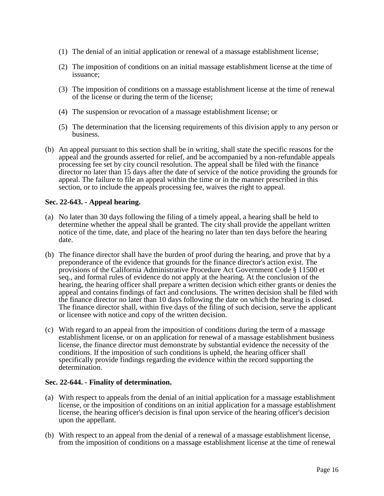- (1) The denial of an initial application or renewal of a massage establishment license;
- (2) The imposition of conditions on an initial massage establishment license at the time of issuance;
- (3) The imposition of conditions on a massage establishment license at the time of renewal of the license or during the term of the license;
- (4) The suspension or revocation of a massage establishment license; or
- (5) The determination that the licensing requirements of this division apply to any person or business.
- (b) An appeal pursuant to this section shall be in writing, shall state the specific reasons for the appeal and the grounds asserted for relief, and be accompanied by a non-refundable appeals processing fee set by city council resolution. The appeal shall be filed with the finance director no later than 15 days after the date of service of the notice providing the grounds for appeal. The failure to file an appeal within the time or in the manner prescribed in this section, or to include the appeals processing fee, waives the right to appeal.

## **Sec. 22-643. - Appeal hearing.**

- (a) No later than 30 days following the filing of a timely appeal, a hearing shall be held to determine whether the appeal shall be granted. The city shall provide the appellant written notice of the time, date, and place of the hearing no later than ten days before the hearing date.
- (b) The finance director shall have the burden of proof during the hearing, and prove that by a preponderance of the evidence that grounds for the finance director's action exist. The provisions of the California Administrative Procedure Act Government Code § 11500 et seq., and formal rules of evidence do not apply at the hearing. At the conclusion of the hearing, the hearing officer shall prepare a written decision which either grants or denies the appeal and contains findings of fact and conclusions. The written decision shall be filed with the finance director no later than 10 days following the date on which the hearing is closed. The finance director shall, within five days of the filing of such decision, serve the applicant or licensee with notice and copy of the written decision.
- (c) With regard to an appeal from the imposition of conditions during the term of a massage establishment license, or on an application for renewal of a massage establishment business license, the finance director must demonstrate by substantial evidence the necessity of the conditions. If the imposition of such conditions is upheld, the hearing officer shall specifically provide findings regarding the evidence within the record supporting the determination.

## **Sec. 22-644. - Finality of determination.**

- (a) With respect to appeals from the denial of an initial application for a massage establishment license, or the imposition of conditions on an initial application for a massage establishment license, the hearing officer's decision is final upon service of the hearing officer's decision upon the appellant.
- (b) With respect to an appeal from the denial of a renewal of a massage establishment license, from the imposition of conditions on a massage establishment license at the time of renewal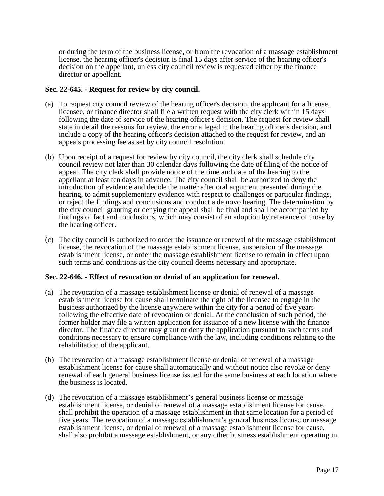or during the term of the business license, or from the revocation of a massage establishment license, the hearing officer's decision is final 15 days after service of the hearing officer's decision on the appellant, unless city council review is requested either by the finance director or appellant.

## **Sec. 22-645. - Request for review by city council.**

- (a) To request city council review of the hearing officer's decision, the applicant for a license, licensee, or finance director shall file a written request with the city clerk within 15 days following the date of service of the hearing officer's decision. The request for review shall state in detail the reasons for review, the error alleged in the hearing officer's decision, and include a copy of the hearing officer's decision attached to the request for review, and an appeals processing fee as set by city council resolution.
- (b) Upon receipt of a request for review by city council, the city clerk shall schedule city council review not later than 30 calendar days following the date of filing of the notice of appeal. The city clerk shall provide notice of the time and date of the hearing to the appellant at least ten days in advance. The city council shall be authorized to deny the introduction of evidence and decide the matter after oral argument presented during the hearing, to admit supplementary evidence with respect to challenges or particular findings, or reject the findings and conclusions and conduct a de novo hearing. The determination by the city council granting or denying the appeal shall be final and shall be accompanied by findings of fact and conclusions, which may consist of an adoption by reference of those by the hearing officer.
- (c) The city council is authorized to order the issuance or renewal of the massage establishment license, the revocation of the massage establishment license, suspension of the massage establishment license, or order the massage establishment license to remain in effect upon such terms and conditions as the city council deems necessary and appropriate.

## **Sec. 22-646. - Effect of revocation or denial of an application for renewal.**

- (a) The revocation of a massage establishment license or denial of renewal of a massage establishment license for cause shall terminate the right of the licensee to engage in the business authorized by the license anywhere within the city for a period of five years following the effective date of revocation or denial. At the conclusion of such period, the former holder may file a written application for issuance of a new license with the finance director. The finance director may grant or deny the application pursuant to such terms and conditions necessary to ensure compliance with the law, including conditions relating to the rehabilitation of the applicant.
- (b) The revocation of a massage establishment license or denial of renewal of a massage establishment license for cause shall automatically and without notice also revoke or deny renewal of each general business license issued for the same business at each location where the business is located.
- (d) The revocation of a massage establishment's general business license or massage establishment license, or denial of renewal of a massage establishment license for cause, shall prohibit the operation of a massage establishment in that same location for a period of five years. The revocation of a massage establishment's general business license or massage establishment license, or denial of renewal of a massage establishment license for cause, shall also prohibit a massage establishment, or any other business establishment operating in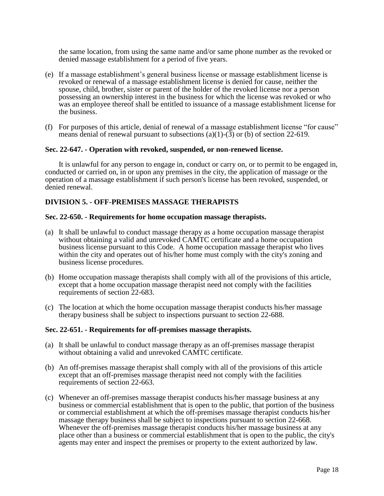the same location, from using the same name and/or same phone number as the revoked or denied massage establishment for a period of five years.

- (e) If a massage establishment's general business license or massage establishment license is revoked or renewal of a massage establishment license is denied for cause, neither the spouse, child, brother, sister or parent of the holder of the revoked license nor a person possessing an ownership interest in the business for which the license was revoked or who was an employee thereof shall be entitled to issuance of a massage establishment license for the business.
- (f) For purposes of this article, denial of renewal of a massage establishment license "for cause" means denial of renewal pursuant to subsections (a)(1)-(3) or (b) of section 22-619.

#### **Sec. 22-647. - Operation with revoked, suspended, or non-renewed license.**

It is unlawful for any person to engage in, conduct or carry on, or to permit to be engaged in, conducted or carried on, in or upon any premises in the city, the application of massage or the operation of a massage establishment if such person's license has been revoked, suspended, or denied renewal.

### **DIVISION 5. - OFF-PREMISES MASSAGE THERAPISTS**

### **Sec. 22-650. - Requirements for home occupation massage therapists.**

- (a) It shall be unlawful to conduct massage therapy as a home occupation massage therapist without obtaining a valid and unrevoked CAMTC certificate and a home occupation business license pursuant to this Code. A home occupation massage therapist who lives within the city and operates out of his/her home must comply with the city's zoning and business license procedures.
- (b) Home occupation massage therapists shall comply with all of the provisions of this article, except that a home occupation massage therapist need not comply with the facilities requirements of section 22-683.
- (c) The location at which the home occupation massage therapist conducts his/her massage therapy business shall be subject to inspections pursuant to section 22-688.

### **Sec. 22-651. - Requirements for off-premises massage therapists.**

- (a) It shall be unlawful to conduct massage therapy as an off-premises massage therapist without obtaining a valid and unrevoked CAMTC certificate.
- (b) An off-premises massage therapist shall comply with all of the provisions of this article except that an off-premises massage therapist need not comply with the facilities requirements of section 22-663.
- (c) Whenever an off-premises massage therapist conducts his/her massage business at any business or commercial establishment that is open to the public, that portion of the business or commercial establishment at which the off-premises massage therapist conducts his/her massage therapy business shall be subject to inspections pursuant to section 22-668. Whenever the off-premises massage therapist conducts his/her massage business at any place other than a business or commercial establishment that is open to the public, the city's agents may enter and inspect the premises or property to the extent authorized by law.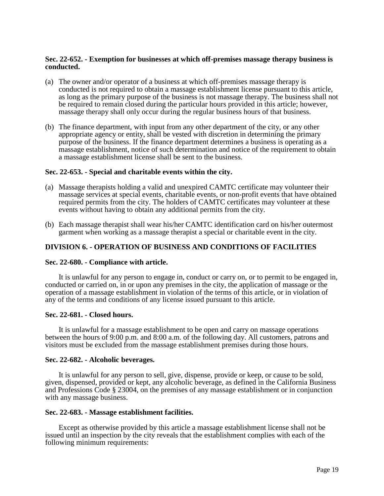## **Sec. 22-652. - Exemption for businesses at which off-premises massage therapy business is conducted.**

- (a) The owner and/or operator of a business at which off-premises massage therapy is conducted is not required to obtain a massage establishment license pursuant to this article, as long as the primary purpose of the business is not massage therapy. The business shall not be required to remain closed during the particular hours provided in this article; however, massage therapy shall only occur during the regular business hours of that business.
- (b) The finance department, with input from any other department of the city, or any other appropriate agency or entity, shall be vested with discretion in determining the primary purpose of the business. If the finance department determines a business is operating as a massage establishment, notice of such determination and notice of the requirement to obtain a massage establishment license shall be sent to the business.

### **Sec. 22-653. - Special and charitable events within the city.**

- (a) Massage therapists holding a valid and unexpired CAMTC certificate may volunteer their massage services at special events, charitable events, or non-profit events that have obtained required permits from the city. The holders of CAMTC certificates may volunteer at these events without having to obtain any additional permits from the city.
- (b) Each massage therapist shall wear his/her CAMTC identification card on his/her outermost garment when working as a massage therapist a special or charitable event in the city.

## **DIVISION 6. - OPERATION OF BUSINESS AND CONDITIONS OF FACILITIES**

### **Sec. 22-680. - Compliance with article.**

It is unlawful for any person to engage in, conduct or carry on, or to permit to be engaged in, conducted or carried on, in or upon any premises in the city, the application of massage or the operation of a massage establishment in violation of the terms of this article, or in violation of any of the terms and conditions of any license issued pursuant to this article.

### **Sec. 22-681. - Closed hours.**

It is unlawful for a massage establishment to be open and carry on massage operations between the hours of 9:00 p.m. and 8:00 a.m. of the following day. All customers, patrons and visitors must be excluded from the massage establishment premises during those hours.

### **Sec. 22-682. - Alcoholic beverages.**

It is unlawful for any person to sell, give, dispense, provide or keep, or cause to be sold, given, dispensed, provided or kept, any alcoholic beverage, as defined in the California Business and Professions Code § 23004, on the premises of any massage establishment or in conjunction with any massage business.

### **Sec. 22-683. - Massage establishment facilities.**

Except as otherwise provided by this article a massage establishment license shall not be issued until an inspection by the city reveals that the establishment complies with each of the following minimum requirements: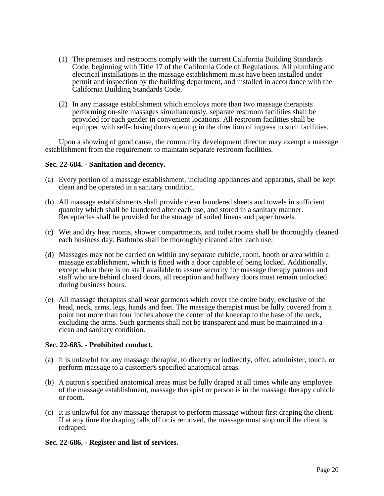- (1) The premises and restrooms comply with the current California Building Standards Code, beginning with Title 17 of the California Code of Regulations. All plumbing and electrical installations in the massage establishment must have been installed under permit and inspection by the building department, and installed in accordance with the California Building Standards Code.
- (2) In any massage establishment which employs more than two massage therapists performing on-site massages simultaneously, separate restroom facilities shall be provided for each gender in convenient locations. All restroom facilities shall be equipped with self-closing doors opening in the direction of ingress to such facilities.

Upon a showing of good cause, the community development director may exempt a massage establishment from the requirement to maintain separate restroom facilities.

## **Sec. 22-684. - Sanitation and decency.**

- (a) Every portion of a massage establishment, including appliances and apparatus, shall be kept clean and be operated in a sanitary condition.
- (b) All massage establishments shall provide clean laundered sheets and towels in sufficient quantity which shall be laundered after each use, and stored in a sanitary manner. Receptacles shall be provided for the storage of soiled linens and paper towels.
- (c) Wet and dry heat rooms, shower compartments, and toilet rooms shall be thoroughly cleaned each business day. Bathtubs shall be thoroughly cleaned after each use.
- (d) Massages may not be carried on within any separate cubicle, room, booth or area within a massage establishment, which is fitted with a door capable of being locked. Additionally, except when there is no staff available to assure security for massage therapy patrons and staff who are behind closed doors, all reception and hallway doors must remain unlocked during business hours.
- (e) All massage therapists shall wear garments which cover the entire body, exclusive of the head, neck, arms, legs, hands and feet. The massage therapist must be fully covered from a point not more than four inches above the center of the kneecap to the base of the neck, excluding the arms. Such garments shall not be transparent and must be maintained in a clean and sanitary condition.

## **Sec. 22-685. - Prohibited conduct.**

- (a) It is unlawful for any massage therapist, to directly or indirectly, offer, administer, touch, or perform massage to a customer's specified anatomical areas.
- (b) A patron's specified anatomical areas must be fully draped at all times while any employee of the massage establishment, massage therapist or person is in the massage therapy cubicle or room.
- (c) It is unlawful for any massage therapist to perform massage without first draping the client. If at any time the draping falls off or is removed, the massage must stop until the client is redraped.

## **Sec. 22-686. - Register and list of services.**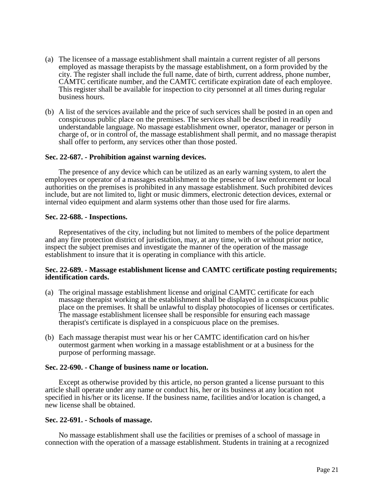- (a) The licensee of a massage establishment shall maintain a current register of all persons employed as massage therapists by the massage establishment, on a form provided by the city. The register shall include the full name, date of birth, current address, phone number, CAMTC certificate number, and the CAMTC certificate expiration date of each employee. This register shall be available for inspection to city personnel at all times during regular business hours.
- (b) A list of the services available and the price of such services shall be posted in an open and conspicuous public place on the premises. The services shall be described in readily understandable language. No massage establishment owner, operator, manager or person in charge of, or in control of, the massage establishment shall permit, and no massage therapist shall offer to perform, any services other than those posted.

## **Sec. 22-687. - Prohibition against warning devices.**

The presence of any device which can be utilized as an early warning system, to alert the employees or operator of a massages establishment to the presence of law enforcement or local authorities on the premises is prohibited in any massage establishment. Such prohibited devices include, but are not limited to, light or music dimmers, electronic detection devices, external or internal video equipment and alarm systems other than those used for fire alarms.

### **Sec. 22-688. - Inspections.**

Representatives of the city, including but not limited to members of the police department and any fire protection district of jurisdiction, may, at any time, with or without prior notice, inspect the subject premises and investigate the manner of the operation of the massage establishment to insure that it is operating in compliance with this article.

### **Sec. 22-689. - Massage establishment license and CAMTC certificate posting requirements; identification cards.**

- (a) The original massage establishment license and original CAMTC certificate for each massage therapist working at the establishment shall be displayed in a conspicuous public place on the premises. It shall be unlawful to display photocopies of licenses or certificates. The massage establishment licensee shall be responsible for ensuring each massage therapist's certificate is displayed in a conspicuous place on the premises.
- (b) Each massage therapist must wear his or her CAMTC identification card on his/her outermost garment when working in a massage establishment or at a business for the purpose of performing massage.

### **Sec. 22-690. - Change of business name or location.**

Except as otherwise provided by this article, no person granted a license pursuant to this article shall operate under any name or conduct his, her or its business at any location not specified in his/her or its license. If the business name, facilities and/or location is changed, a new license shall be obtained.

### **Sec. 22-691. - Schools of massage.**

No massage establishment shall use the facilities or premises of a school of massage in connection with the operation of a massage establishment. Students in training at a recognized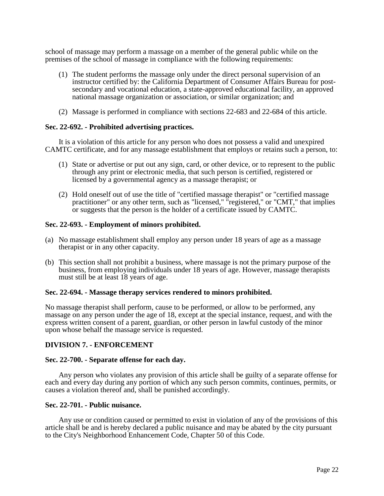school of massage may perform a massage on a member of the general public while on the premises of the school of massage in compliance with the following requirements:

- (1) The student performs the massage only under the direct personal supervision of an instructor certified by: the California Department of Consumer Affairs Bureau for postsecondary and vocational education, a state-approved educational facility, an approved national massage organization or association, or similar organization; and
- (2) Massage is performed in compliance with sections 22-683 and 22-684 of this article.

### **Sec. 22-692. - Prohibited advertising practices.**

It is a violation of this article for any person who does not possess a valid and unexpired CAMTC certificate, and for any massage establishment that employs or retains such a person, to:

- (1) State or advertise or put out any sign, card, or other device, or to represent to the public through any print or electronic media, that such person is certified, registered or licensed by a governmental agency as a massage therapist; or
- (2) Hold oneself out of use the title of "certified massage therapist" or "certified massage practitioner" or any other term, such as "licensed," "registered," or "CMT," that implies or suggests that the person is the holder of a certificate issued by CAMTC.

## **Sec. 22-693. - Employment of minors prohibited.**

- (a) No massage establishment shall employ any person under 18 years of age as a massage therapist or in any other capacity.
- (b) This section shall not prohibit a business, where massage is not the primary purpose of the business, from employing individuals under 18 years of age. However, massage therapists must still be at least 18 years of age.

### **Sec. 22-694. - Massage therapy services rendered to minors prohibited.**

No massage therapist shall perform, cause to be performed, or allow to be performed, any massage on any person under the age of 18, except at the special instance, request, and with the express written consent of a parent, guardian, or other person in lawful custody of the minor upon whose behalf the massage service is requested.

## **DIVISION 7. - ENFORCEMENT**

### **Sec. 22-700. - Separate offense for each day.**

Any person who violates any provision of this article shall be guilty of a separate offense for each and every day during any portion of which any such person commits, continues, permits, or causes a violation thereof and, shall be punished accordingly.

### **Sec. 22-701. - Public nuisance.**

Any use or condition caused or permitted to exist in violation of any of the provisions of this article shall be and is hereby declared a public nuisance and may be abated by the city pursuant to the City's Neighborhood Enhancement Code, Chapter 50 of this Code.